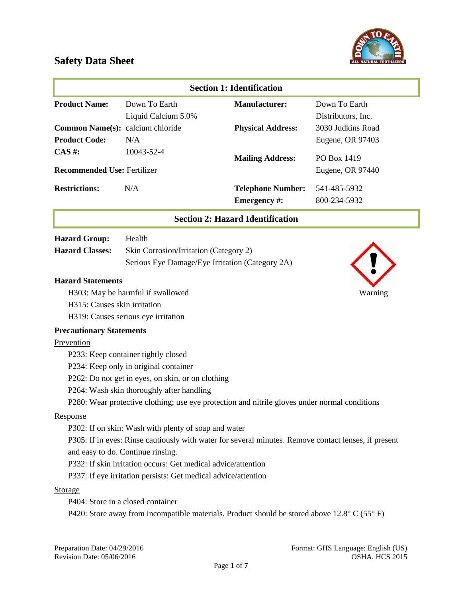

|                                    |                                                                | <b>Section 1: Identification</b>                                                                     |                    |
|------------------------------------|----------------------------------------------------------------|------------------------------------------------------------------------------------------------------|--------------------|
| <b>Product Name:</b>               | Down To Earth                                                  | <b>Manufacturer:</b>                                                                                 | Down To Earth      |
|                                    | Liquid Calcium 5.0%                                            |                                                                                                      | Distributors, Inc. |
| Common Name(s): calcium chloride   |                                                                | <b>Physical Address:</b>                                                                             | 3030 Judkins Road  |
| <b>Product Code:</b>               | N/A                                                            |                                                                                                      | Eugene, OR 97403   |
| $CAS$ #:                           | 10043-52-4                                                     | <b>Mailing Address:</b>                                                                              | PO Box 1419        |
| <b>Recommended Use: Fertilizer</b> |                                                                |                                                                                                      | Eugene, OR 97440   |
| <b>Restrictions:</b>               | N/A                                                            | <b>Telephone Number:</b>                                                                             | 541-485-5932       |
|                                    |                                                                | Emergency #:                                                                                         | 800-234-5932       |
|                                    |                                                                | <b>Section 2: Hazard Identification</b>                                                              |                    |
| <b>Hazard Group:</b>               | Health                                                         |                                                                                                      |                    |
| <b>Hazard Classes:</b>             | Skin Corrosion/Irritation (Category 2)                         |                                                                                                      |                    |
|                                    | Serious Eye Damage/Eye Irritation (Category 2A)                |                                                                                                      |                    |
| <b>Hazard Statements</b>           |                                                                |                                                                                                      |                    |
|                                    | H303: May be harmful if swallowed                              |                                                                                                      | Warning            |
| H315: Causes skin irritation       |                                                                |                                                                                                      |                    |
|                                    | H319: Causes serious eye irritation                            |                                                                                                      |                    |
| <b>Precautionary Statements</b>    |                                                                |                                                                                                      |                    |
| Prevention                         |                                                                |                                                                                                      |                    |
|                                    | P233: Keep container tightly closed                            |                                                                                                      |                    |
|                                    | P234: Keep only in original container                          |                                                                                                      |                    |
|                                    | P262: Do not get in eyes, on skin, or on clothing              |                                                                                                      |                    |
|                                    | P264: Wash skin thoroughly after handling                      |                                                                                                      |                    |
|                                    |                                                                | P280: Wear protective clothing; use eye protection and nitrile gloves under normal conditions        |                    |
| Response                           |                                                                |                                                                                                      |                    |
|                                    | P302: If on skin: Wash with plenty of soap and water           |                                                                                                      |                    |
|                                    |                                                                | P305: If in eyes: Rinse cautiously with water for several minutes. Remove contact lenses, if present |                    |
|                                    | and easy to do. Continue rinsing.                              |                                                                                                      |                    |
|                                    | P332: If skin irritation occurs: Get medical advice/attention  |                                                                                                      |                    |
|                                    | P337: If eye irritation persists: Get medical advice/attention |                                                                                                      |                    |
|                                    |                                                                |                                                                                                      |                    |
|                                    |                                                                |                                                                                                      |                    |
| <b>Storage</b>                     | P404: Store in a closed container                              |                                                                                                      |                    |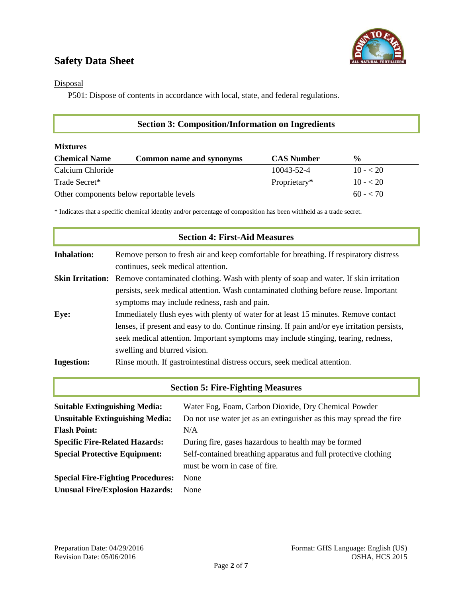

**Disposal** 

P501: Dispose of contents in accordance with local, state, and federal regulations.

| <b>Section 3: Composition/Information on Ingredients</b> |                                 |                   |               |  |  |
|----------------------------------------------------------|---------------------------------|-------------------|---------------|--|--|
| <b>Mixtures</b>                                          |                                 |                   |               |  |  |
| <b>Chemical Name</b>                                     | <b>Common name and synonyms</b> | <b>CAS Number</b> | $\frac{0}{0}$ |  |  |
| Calcium Chloride                                         |                                 | 10043-52-4        | $10 - 20$     |  |  |
| Trade Secret*                                            |                                 | Proprietary*      | $10 - 20$     |  |  |
| Other components below reportable levels                 | $60 - 70$                       |                   |               |  |  |

\* Indicates that a specific chemical identity and/or percentage of composition has been withheld as a trade secret.

|                    | <b>Section 4: First-Aid Measures</b>                                                                                                                                                                                                                                                                      |
|--------------------|-----------------------------------------------------------------------------------------------------------------------------------------------------------------------------------------------------------------------------------------------------------------------------------------------------------|
| <b>Inhalation:</b> | Remove person to fresh air and keep comfortable for breathing. If respiratory distress<br>continues, seek medical attention.                                                                                                                                                                              |
|                    | <b>Skin Irritation:</b> Remove contaminated clothing. Wash with plenty of soap and water. If skin irritation<br>persists, seek medical attention. Wash contaminated clothing before reuse. Important<br>symptoms may include redness, rash and pain.                                                      |
| Eye:               | Immediately flush eyes with plenty of water for at least 15 minutes. Remove contact<br>lenses, if present and easy to do. Continue rinsing. If pain and/or eye irritation persists,<br>seek medical attention. Important symptoms may include stinging, tearing, redness,<br>swelling and blurred vision. |
| <b>Ingestion:</b>  | Rinse mouth. If gastrointestinal distress occurs, seek medical attention.                                                                                                                                                                                                                                 |
|                    | <b>Section 5: Fire-Fighting Measures</b>                                                                                                                                                                                                                                                                  |

| <b>Suitable Extinguishing Media:</b>     | Water Fog, Foam, Carbon Dioxide, Dry Chemical Powder                |  |  |  |
|------------------------------------------|---------------------------------------------------------------------|--|--|--|
| <b>Unsuitable Extinguishing Media:</b>   | Do not use water jet as an extinguisher as this may spread the fire |  |  |  |
| <b>Flash Point:</b>                      | N/A                                                                 |  |  |  |
| <b>Specific Fire-Related Hazards:</b>    | During fire, gases hazardous to health may be formed                |  |  |  |
| <b>Special Protective Equipment:</b>     | Self-contained breathing apparatus and full protective clothing     |  |  |  |
|                                          | must be worn in case of fire.                                       |  |  |  |
| <b>Special Fire-Fighting Procedures:</b> | None                                                                |  |  |  |
| <b>Unusual Fire/Explosion Hazards:</b>   | None                                                                |  |  |  |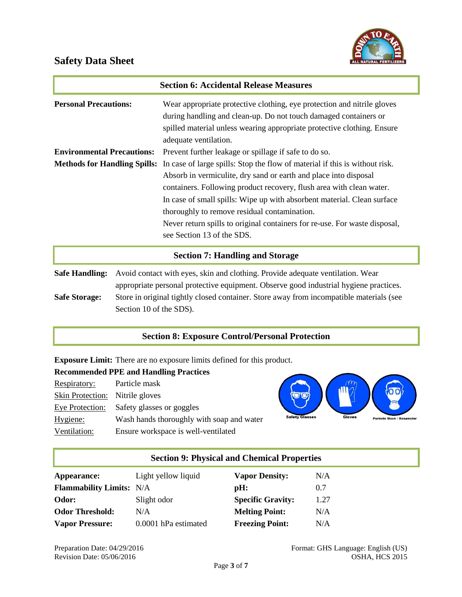

|                                        | <b>Section 6: Accidental Release Measures</b>                                                                                                                                                                                                   |  |  |  |
|----------------------------------------|-------------------------------------------------------------------------------------------------------------------------------------------------------------------------------------------------------------------------------------------------|--|--|--|
| <b>Personal Precautions:</b>           | Wear appropriate protective clothing, eye protection and nitrile gloves<br>during handling and clean-up. Do not touch damaged containers or<br>spilled material unless wearing appropriate protective clothing. Ensure<br>adequate ventilation. |  |  |  |
| <b>Environmental Precautions:</b>      | Prevent further leakage or spillage if safe to do so.                                                                                                                                                                                           |  |  |  |
| <b>Methods for Handling Spills:</b>    | In case of large spills: Stop the flow of material if this is without risk.                                                                                                                                                                     |  |  |  |
|                                        | Absorb in vermiculite, dry sand or earth and place into disposal                                                                                                                                                                                |  |  |  |
|                                        | containers. Following product recovery, flush area with clean water.                                                                                                                                                                            |  |  |  |
|                                        | In case of small spills: Wipe up with absorbent material. Clean surface                                                                                                                                                                         |  |  |  |
|                                        | thoroughly to remove residual contamination.                                                                                                                                                                                                    |  |  |  |
|                                        | Never return spills to original containers for re-use. For waste disposal,                                                                                                                                                                      |  |  |  |
|                                        | see Section 13 of the SDS.                                                                                                                                                                                                                      |  |  |  |
| <b>Section 7: Handling and Storage</b> |                                                                                                                                                                                                                                                 |  |  |  |
| <b>Safe Handling:</b>                  | Avoid contact with eyes, skin and clothing. Provide adequate ventilation. Wear                                                                                                                                                                  |  |  |  |
|                                        | appropriate personal protective equipment. Observe good industrial hygiene practices.                                                                                                                                                           |  |  |  |
| <b>Safe Storage:</b>                   | Store in original tightly closed container. Store away from incompatible materials (see                                                                                                                                                         |  |  |  |
|                                        | Section 10 of the SDS).                                                                                                                                                                                                                         |  |  |  |

#### **Section 8: Exposure Control/Personal Protection**

**Exposure Limit:** There are no exposure limits defined for this product.

| <b>Recommended PPE and Handling Practices</b> |  |  |  |  |
|-----------------------------------------------|--|--|--|--|
| Particle mask                                 |  |  |  |  |
| Skin Protection: Nitrile gloves               |  |  |  |  |
| Safety glasses or goggles                     |  |  |  |  |
| Wash hands thoroughly with soap and water     |  |  |  |  |
| Ensure workspace is well-ventilated           |  |  |  |  |
|                                               |  |  |  |  |



### **Section 9: Physical and Chemical Properties**

| Appearance:                     | Light yellow liquid  | <b>Vapor Density:</b>    | N/A  |
|---------------------------------|----------------------|--------------------------|------|
| <b>Flammability Limits:</b> N/A |                      | pH:                      | 0.7  |
| Odor:                           | Slight odor          | <b>Specific Gravity:</b> | 1.27 |
| <b>Odor Threshold:</b>          | N/A                  | <b>Melting Point:</b>    | N/A  |
| <b>Vapor Pressure:</b>          | 0.0001 hPa estimated | <b>Freezing Point:</b>   | N/A  |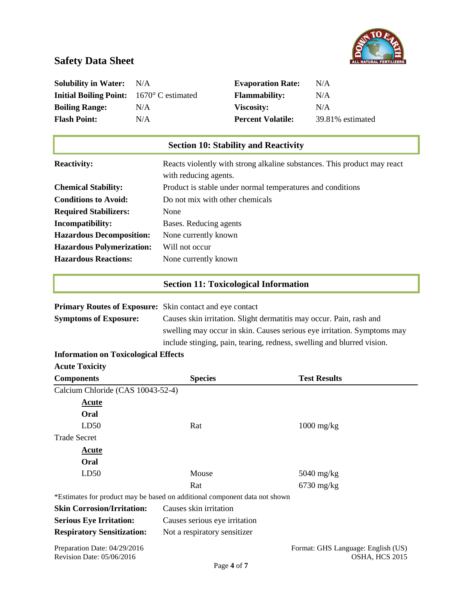

| <b>Solubility in Water:</b><br><b>Initial Boiling Point:</b><br><b>Boiling Range:</b><br><b>Flash Point:</b> | N/A<br>1670° C estimated<br>N/A<br>N/A                                     | <b>Evaporation Rate:</b><br><b>Flammability:</b><br>Viscosity:<br><b>Percent Volatile:</b>                                                                                                                                                                                           | N/A<br>N/A<br>N/A<br>39.81% estimated                                    |  |
|--------------------------------------------------------------------------------------------------------------|----------------------------------------------------------------------------|--------------------------------------------------------------------------------------------------------------------------------------------------------------------------------------------------------------------------------------------------------------------------------------|--------------------------------------------------------------------------|--|
|                                                                                                              |                                                                            | <b>Section 10: Stability and Reactivity</b>                                                                                                                                                                                                                                          |                                                                          |  |
| <b>Reactivity:</b>                                                                                           | with reducing agents.                                                      |                                                                                                                                                                                                                                                                                      | Reacts violently with strong alkaline substances. This product may react |  |
| <b>Chemical Stability:</b>                                                                                   |                                                                            | Product is stable under normal temperatures and conditions                                                                                                                                                                                                                           |                                                                          |  |
| <b>Conditions to Avoid:</b>                                                                                  | Do not mix with other chemicals                                            |                                                                                                                                                                                                                                                                                      |                                                                          |  |
| <b>Required Stabilizers:</b>                                                                                 | None                                                                       |                                                                                                                                                                                                                                                                                      |                                                                          |  |
| Incompatibility:                                                                                             | Bases. Reducing agents                                                     |                                                                                                                                                                                                                                                                                      |                                                                          |  |
| <b>Hazardous Decomposition:</b>                                                                              | None currently known                                                       |                                                                                                                                                                                                                                                                                      |                                                                          |  |
| <b>Hazardous Polymerization:</b>                                                                             | Will not occur                                                             |                                                                                                                                                                                                                                                                                      |                                                                          |  |
| <b>Hazardous Reactions:</b>                                                                                  | None currently known                                                       |                                                                                                                                                                                                                                                                                      |                                                                          |  |
|                                                                                                              |                                                                            | <b>Section 11: Toxicological Information</b>                                                                                                                                                                                                                                         |                                                                          |  |
| <b>Symptoms of Exposure:</b>                                                                                 |                                                                            | Primary Routes of Exposure: Skin contact and eye contact<br>Causes skin irritation. Slight dermatitis may occur. Pain, rash and<br>swelling may occur in skin. Causes serious eye irritation. Symptoms may<br>include stinging, pain, tearing, redness, swelling and blurred vision. |                                                                          |  |
| <b>Information on Toxicological Effects</b>                                                                  |                                                                            |                                                                                                                                                                                                                                                                                      |                                                                          |  |
| <b>Acute Toxicity</b>                                                                                        |                                                                            |                                                                                                                                                                                                                                                                                      |                                                                          |  |
| <b>Components</b>                                                                                            | <b>Species</b>                                                             |                                                                                                                                                                                                                                                                                      | <b>Test Results</b>                                                      |  |
| Calcium Chloride (CAS 10043-52-4)                                                                            |                                                                            |                                                                                                                                                                                                                                                                                      |                                                                          |  |
| <b>Acute</b><br>Oral                                                                                         |                                                                            |                                                                                                                                                                                                                                                                                      |                                                                          |  |
| LD50                                                                                                         | Rat                                                                        |                                                                                                                                                                                                                                                                                      | $1000$ mg/kg                                                             |  |
| <b>Trade Secret</b>                                                                                          |                                                                            |                                                                                                                                                                                                                                                                                      |                                                                          |  |
| <b>Acute</b>                                                                                                 |                                                                            |                                                                                                                                                                                                                                                                                      |                                                                          |  |
| Oral                                                                                                         |                                                                            |                                                                                                                                                                                                                                                                                      |                                                                          |  |
| LD50                                                                                                         | Mouse                                                                      |                                                                                                                                                                                                                                                                                      | $5040$ mg/kg                                                             |  |
|                                                                                                              | Rat                                                                        |                                                                                                                                                                                                                                                                                      | $6730$ mg/kg                                                             |  |
|                                                                                                              | *Estimates for product may be based on additional component data not shown |                                                                                                                                                                                                                                                                                      |                                                                          |  |
| <b>Skin Corrosion/Irritation:</b>                                                                            | Causes skin irritation                                                     |                                                                                                                                                                                                                                                                                      |                                                                          |  |
| <b>Serious Eye Irritation:</b>                                                                               | Causes serious eye irritation                                              |                                                                                                                                                                                                                                                                                      |                                                                          |  |
| <b>Respiratory Sensitization:</b>                                                                            | Not a respiratory sensitizer                                               |                                                                                                                                                                                                                                                                                      |                                                                          |  |
| Preparation Date: 04/29/2016                                                                                 |                                                                            |                                                                                                                                                                                                                                                                                      | Format: GHS Language: English (US)                                       |  |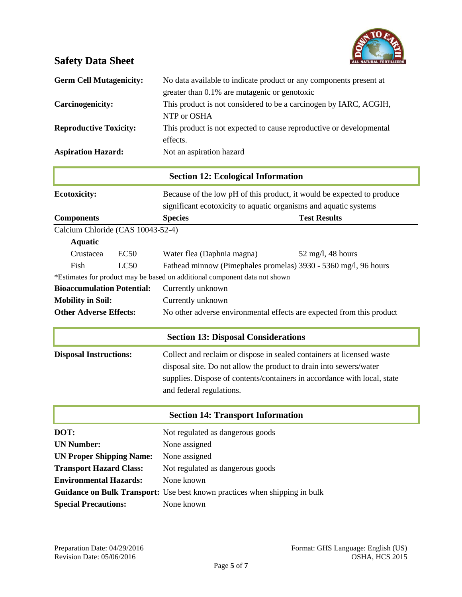

| <b>Germ Cell Mutagenicity:</b> | No data available to indicate product or any components present at<br>greater than 0.1% are mutagenic or genotoxic |
|--------------------------------|--------------------------------------------------------------------------------------------------------------------|
| Carcinogenicity:               | This product is not considered to be a carcinogen by IARC, ACGIH,<br>NTP or OSHA                                   |
| <b>Reproductive Toxicity:</b>  | This product is not expected to cause reproductive or developmental<br>effects.                                    |
| <b>Aspiration Hazard:</b>      | Not an aspiration hazard                                                                                           |

| <b>Section 12: Ecological Information</b> |      |                                                                                                                                                                                                                                                     |                                                                 |  |  |  |
|-------------------------------------------|------|-----------------------------------------------------------------------------------------------------------------------------------------------------------------------------------------------------------------------------------------------------|-----------------------------------------------------------------|--|--|--|
| <b>Ecotoxicity:</b>                       |      | Because of the low pH of this product, it would be expected to produce                                                                                                                                                                              |                                                                 |  |  |  |
|                                           |      | significant ecotoxicity to aquatic organisms and aquatic systems                                                                                                                                                                                    |                                                                 |  |  |  |
| <b>Components</b>                         |      | <b>Species</b>                                                                                                                                                                                                                                      | <b>Test Results</b>                                             |  |  |  |
| Calcium Chloride (CAS 10043-52-4)         |      |                                                                                                                                                                                                                                                     |                                                                 |  |  |  |
| <b>Aquatic</b>                            |      |                                                                                                                                                                                                                                                     |                                                                 |  |  |  |
| Crustacea                                 | EC50 | Water flea (Daphnia magna)                                                                                                                                                                                                                          | $52 \text{ mg/l}$ , 48 hours                                    |  |  |  |
| Fish                                      | LC50 |                                                                                                                                                                                                                                                     | Fathead minnow (Pimephales promelas) 3930 - 5360 mg/l, 96 hours |  |  |  |
|                                           |      | *Estimates for product may be based on additional component data not shown                                                                                                                                                                          |                                                                 |  |  |  |
| <b>Bioaccumulation Potential:</b>         |      | Currently unknown                                                                                                                                                                                                                                   |                                                                 |  |  |  |
| <b>Mobility in Soil:</b>                  |      | Currently unknown                                                                                                                                                                                                                                   |                                                                 |  |  |  |
| <b>Other Adverse Effects:</b>             |      | No other adverse environmental effects are expected from this product                                                                                                                                                                               |                                                                 |  |  |  |
|                                           |      | <b>Section 13: Disposal Considerations</b>                                                                                                                                                                                                          |                                                                 |  |  |  |
| <b>Disposal Instructions:</b>             |      | Collect and reclaim or dispose in sealed containers at licensed waste<br>disposal site. Do not allow the product to drain into sewers/water<br>supplies. Dispose of contents/containers in accordance with local, state<br>and federal regulations. |                                                                 |  |  |  |
|                                           |      | <b>Section 14: Transport Information</b>                                                                                                                                                                                                            |                                                                 |  |  |  |
| DOT:                                      |      | Not regulated as dangerous goods                                                                                                                                                                                                                    |                                                                 |  |  |  |
| <b>UN Number:</b>                         |      | None assigned                                                                                                                                                                                                                                       |                                                                 |  |  |  |

| <b>UN Proper Shipping Name:</b> | None assigned                    |
|---------------------------------|----------------------------------|
| <b>Transport Hazard Class:</b>  | Not regulated as dangerous goods |
| <b>Environmental Hazards:</b>   | None known                       |

| Guidance on Bulk Transport: Use best known practices when shipping in bulk |  |  |  |  |
|----------------------------------------------------------------------------|--|--|--|--|
|                                                                            |  |  |  |  |

**Special Precautions:** None known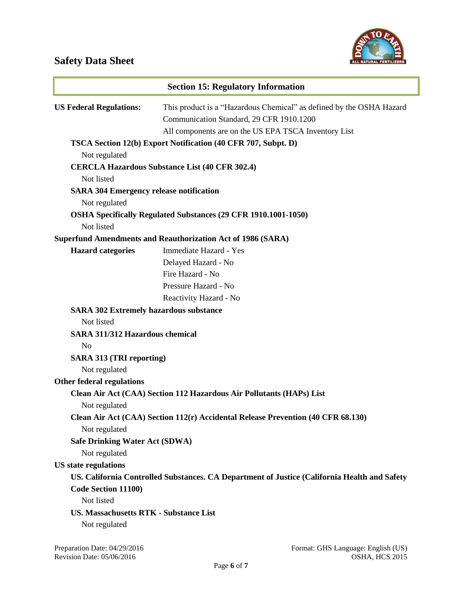

| <b>Section 15: Regulatory Information</b>                       |                                                                                                                                                                          |
|-----------------------------------------------------------------|--------------------------------------------------------------------------------------------------------------------------------------------------------------------------|
| <b>US Federal Regulations:</b>                                  | This product is a "Hazardous Chemical" as defined by the OSHA Hazard<br>Communication Standard, 29 CFR 1910.1200<br>All components are on the US EPA TSCA Inventory List |
| TSCA Section 12(b) Export Notification (40 CFR 707, Subpt. D)   |                                                                                                                                                                          |
| Not regulated                                                   |                                                                                                                                                                          |
| Not listed                                                      | <b>CERCLA Hazardous Substance List (40 CFR 302.4)</b>                                                                                                                    |
| <b>SARA 304 Emergency release notification</b><br>Not regulated |                                                                                                                                                                          |
| Not listed                                                      | OSHA Specifically Regulated Substances (29 CFR 1910.1001-1050)                                                                                                           |
|                                                                 | <b>Superfund Amendments and Reauthorization Act of 1986 (SARA)</b>                                                                                                       |
| <b>Hazard categories</b>                                        | Immediate Hazard - Yes                                                                                                                                                   |
|                                                                 | Delayed Hazard - No                                                                                                                                                      |
|                                                                 | Fire Hazard - No                                                                                                                                                         |
|                                                                 | Pressure Hazard - No                                                                                                                                                     |
|                                                                 | Reactivity Hazard - No                                                                                                                                                   |
| <b>SARA 302 Extremely hazardous substance</b>                   |                                                                                                                                                                          |
| Not listed                                                      |                                                                                                                                                                          |
| <b>SARA 311/312 Hazardous chemical</b><br>N <sub>0</sub>        |                                                                                                                                                                          |
| <b>SARA 313 (TRI reporting)</b>                                 |                                                                                                                                                                          |
| Not regulated                                                   |                                                                                                                                                                          |
| <b>Other federal regulations</b>                                |                                                                                                                                                                          |
|                                                                 | Clean Air Act (CAA) Section 112 Hazardous Air Pollutants (HAPs) List                                                                                                     |
| Not regulated                                                   |                                                                                                                                                                          |
| Not regulated                                                   | Clean Air Act (CAA) Section 112(r) Accidental Release Prevention (40 CFR 68.130)                                                                                         |
| <b>Safe Drinking Water Act (SDWA)</b>                           |                                                                                                                                                                          |
| Not regulated                                                   |                                                                                                                                                                          |
| <b>US</b> state regulations                                     |                                                                                                                                                                          |
|                                                                 | US. California Controlled Substances. CA Department of Justice (California Health and Safety                                                                             |
| Code Section 11100)                                             |                                                                                                                                                                          |
| Not listed                                                      |                                                                                                                                                                          |
| <b>US. Massachusetts RTK - Substance List</b>                   |                                                                                                                                                                          |
| Not regulated                                                   |                                                                                                                                                                          |